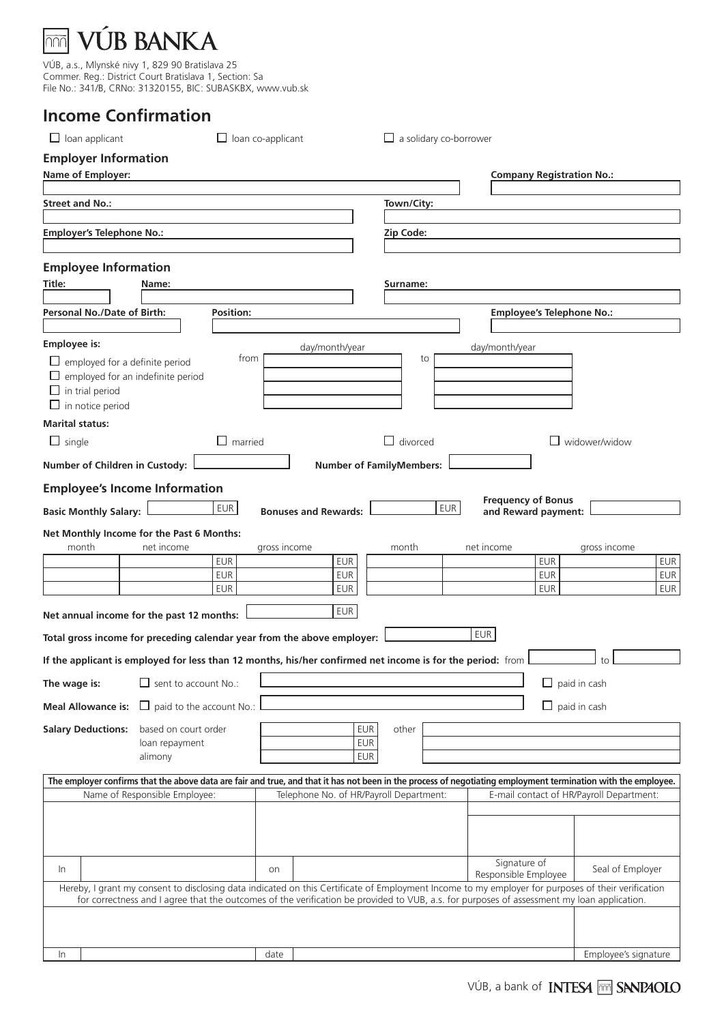### **JB BANKA**  $\overline{mn}$

VÚB, a.s., Mlynské nivy 1, 829 90 Bratislava 25 Commer. Reg.: District Court Bratislava 1, Section: Sa File No.: 341/B, CRNo: 31320155, BIC: SUBASKBX, www.vub.sk

## **Income Confirmation**

| $\Box$ loan applicant                                                                                                                                         |                                                                                                                                                                                                                                                                                                  | $\Box$ loan co-applicant |              |  |                             |                                         | $\Box$ a solidary co-borrower |                                                  |                                  |                                          |                          |
|---------------------------------------------------------------------------------------------------------------------------------------------------------------|--------------------------------------------------------------------------------------------------------------------------------------------------------------------------------------------------------------------------------------------------------------------------------------------------|--------------------------|--------------|--|-----------------------------|-----------------------------------------|-------------------------------|--------------------------------------------------|----------------------------------|------------------------------------------|--------------------------|
| <b>Employer Information</b>                                                                                                                                   |                                                                                                                                                                                                                                                                                                  |                          |              |  |                             |                                         |                               |                                                  |                                  |                                          |                          |
| Name of Employer:                                                                                                                                             |                                                                                                                                                                                                                                                                                                  |                          |              |  |                             |                                         |                               |                                                  | <b>Company Registration No.:</b> |                                          |                          |
| <b>Street and No.:</b>                                                                                                                                        |                                                                                                                                                                                                                                                                                                  |                          |              |  |                             | Town/City:                              |                               |                                                  |                                  |                                          |                          |
|                                                                                                                                                               |                                                                                                                                                                                                                                                                                                  |                          |              |  |                             |                                         |                               |                                                  |                                  |                                          |                          |
| <b>Employer's Telephone No.:</b>                                                                                                                              |                                                                                                                                                                                                                                                                                                  |                          |              |  |                             | Zip Code:                               |                               |                                                  |                                  |                                          |                          |
|                                                                                                                                                               |                                                                                                                                                                                                                                                                                                  |                          |              |  |                             |                                         |                               |                                                  |                                  |                                          |                          |
| <b>Employee Information</b>                                                                                                                                   |                                                                                                                                                                                                                                                                                                  |                          |              |  |                             |                                         |                               |                                                  |                                  |                                          |                          |
| Title:                                                                                                                                                        | Name:                                                                                                                                                                                                                                                                                            |                          |              |  |                             | Surname:                                |                               |                                                  |                                  |                                          |                          |
| Personal No./Date of Birth:                                                                                                                                   |                                                                                                                                                                                                                                                                                                  | Position:                |              |  |                             |                                         |                               |                                                  | <b>Employee's Telephone No.:</b> |                                          |                          |
|                                                                                                                                                               |                                                                                                                                                                                                                                                                                                  |                          |              |  |                             |                                         |                               |                                                  |                                  |                                          |                          |
| <b>Employee is:</b>                                                                                                                                           |                                                                                                                                                                                                                                                                                                  |                          |              |  | day/month/year              |                                         |                               | day/month/year                                   |                                  |                                          |                          |
| $\Box$ employed for a definite period                                                                                                                         |                                                                                                                                                                                                                                                                                                  | from                     |              |  |                             |                                         | to                            |                                                  |                                  |                                          |                          |
| $\Box$ employed for an indefinite period                                                                                                                      |                                                                                                                                                                                                                                                                                                  |                          |              |  |                             |                                         |                               |                                                  |                                  |                                          |                          |
| $\Box$ in trial period<br>$\Box$ in notice period                                                                                                             |                                                                                                                                                                                                                                                                                                  |                          |              |  |                             |                                         |                               |                                                  |                                  |                                          |                          |
| <b>Marital status:</b>                                                                                                                                        |                                                                                                                                                                                                                                                                                                  |                          |              |  |                             |                                         |                               |                                                  |                                  |                                          |                          |
| $\Box$ single                                                                                                                                                 |                                                                                                                                                                                                                                                                                                  | $\Box$ married           |              |  |                             | divorced                                |                               |                                                  |                                  | widower/widow                            |                          |
|                                                                                                                                                               |                                                                                                                                                                                                                                                                                                  |                          |              |  |                             |                                         |                               |                                                  |                                  |                                          |                          |
| Number of Children in Custody:                                                                                                                                |                                                                                                                                                                                                                                                                                                  |                          |              |  |                             | <b>Number of FamilyMembers:</b>         |                               |                                                  |                                  |                                          |                          |
| <b>Employee's Income Information</b>                                                                                                                          |                                                                                                                                                                                                                                                                                                  |                          |              |  |                             |                                         |                               |                                                  |                                  |                                          |                          |
| <b>Basic Monthly Salary:</b>                                                                                                                                  |                                                                                                                                                                                                                                                                                                  | EUR                      |              |  | <b>Bonuses and Rewards:</b> |                                         | <b>EUR</b>                    | <b>Frequency of Bonus</b><br>and Reward payment: |                                  |                                          |                          |
| Net Monthly Income for the Past 6 Months:                                                                                                                     |                                                                                                                                                                                                                                                                                                  |                          |              |  |                             |                                         |                               |                                                  |                                  |                                          |                          |
| month                                                                                                                                                         | net income                                                                                                                                                                                                                                                                                       |                          | gross income |  |                             | month                                   |                               | net income                                       |                                  | gross income                             |                          |
|                                                                                                                                                               |                                                                                                                                                                                                                                                                                                  | <b>EUR</b>               |              |  | <b>EUR</b>                  |                                         |                               |                                                  | <b>EUR</b>                       |                                          | <b>EUR</b>               |
|                                                                                                                                                               |                                                                                                                                                                                                                                                                                                  | <b>EUR</b><br><b>EUR</b> |              |  | <b>EUR</b><br><b>EUR</b>    |                                         |                               |                                                  | <b>EUR</b><br><b>EUR</b>         |                                          | <b>EUR</b><br><b>EUR</b> |
|                                                                                                                                                               |                                                                                                                                                                                                                                                                                                  |                          |              |  |                             |                                         |                               |                                                  |                                  |                                          |                          |
| Net annual income for the past 12 months:                                                                                                                     |                                                                                                                                                                                                                                                                                                  |                          |              |  | <b>EUR</b>                  |                                         |                               |                                                  |                                  |                                          |                          |
| Total gross income for preceding calendar year from the above employer:                                                                                       |                                                                                                                                                                                                                                                                                                  |                          |              |  |                             |                                         |                               | <b>EUR</b>                                       |                                  |                                          |                          |
| If the applicant is employed for less than 12 months, his/her confirmed net income is for the period: from                                                    |                                                                                                                                                                                                                                                                                                  |                          |              |  |                             |                                         |                               |                                                  |                                  | to                                       |                          |
|                                                                                                                                                               | $\Box$ sent to account No.:                                                                                                                                                                                                                                                                      |                          |              |  |                             |                                         |                               |                                                  |                                  |                                          |                          |
| The wage is:                                                                                                                                                  |                                                                                                                                                                                                                                                                                                  |                          |              |  |                             |                                         |                               |                                                  |                                  | $\Box$ paid in cash                      |                          |
| <b>Meal Allowance is:</b>                                                                                                                                     | paid to the account No.:<br>ப                                                                                                                                                                                                                                                                    |                          |              |  |                             |                                         |                               |                                                  |                                  | $\Box$ paid in cash                      |                          |
| <b>Salary Deductions:</b>                                                                                                                                     | based on court order                                                                                                                                                                                                                                                                             |                          |              |  | <b>EUR</b>                  | other                                   |                               |                                                  |                                  |                                          |                          |
|                                                                                                                                                               | loan repayment                                                                                                                                                                                                                                                                                   |                          |              |  | <b>EUR</b>                  |                                         |                               |                                                  |                                  |                                          |                          |
|                                                                                                                                                               | alimony                                                                                                                                                                                                                                                                                          |                          |              |  | EUR                         |                                         |                               |                                                  |                                  |                                          |                          |
| The employer confirms that the above data are fair and true, and that it has not been in the process of negotiating employment termination with the employee. |                                                                                                                                                                                                                                                                                                  |                          |              |  |                             |                                         |                               |                                                  |                                  |                                          |                          |
|                                                                                                                                                               | Name of Responsible Employee:                                                                                                                                                                                                                                                                    |                          |              |  |                             | Telephone No. of HR/Payroll Department: |                               |                                                  |                                  | E-mail contact of HR/Payroll Department: |                          |
|                                                                                                                                                               |                                                                                                                                                                                                                                                                                                  |                          |              |  |                             |                                         |                               |                                                  |                                  |                                          |                          |
|                                                                                                                                                               |                                                                                                                                                                                                                                                                                                  |                          |              |  |                             |                                         |                               |                                                  |                                  |                                          |                          |
|                                                                                                                                                               |                                                                                                                                                                                                                                                                                                  |                          |              |  |                             |                                         |                               | Signature of                                     |                                  |                                          |                          |
| In.                                                                                                                                                           |                                                                                                                                                                                                                                                                                                  |                          | on           |  |                             |                                         |                               | Responsible Employee                             |                                  | Seal of Employer                         |                          |
|                                                                                                                                                               | Hereby, I grant my consent to disclosing data indicated on this Certificate of Employment Income to my employer for purposes of their verification<br>for correctness and I agree that the outcomes of the verification be provided to VUB, a.s. for purposes of assessment my loan application. |                          |              |  |                             |                                         |                               |                                                  |                                  |                                          |                          |
|                                                                                                                                                               |                                                                                                                                                                                                                                                                                                  |                          |              |  |                             |                                         |                               |                                                  |                                  |                                          |                          |
|                                                                                                                                                               |                                                                                                                                                                                                                                                                                                  |                          |              |  |                             |                                         |                               |                                                  |                                  |                                          |                          |
| In                                                                                                                                                            |                                                                                                                                                                                                                                                                                                  |                          | date         |  |                             |                                         |                               |                                                  |                                  | Employee's signature                     |                          |